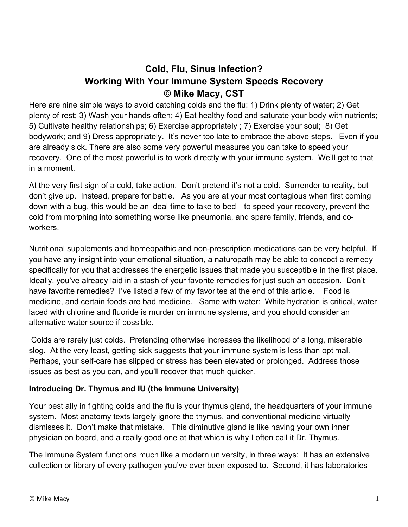# **Cold, Flu, Sinus Infection? Working With Your Immune System Speeds Recovery © Mike Macy, CST**

Here are nine simple ways to avoid catching colds and the flu: 1) Drink plenty of water; 2) Get plenty of rest; 3) Wash your hands often; 4) Eat healthy food and saturate your body with nutrients; 5) Cultivate healthy relationships; 6) Exercise appropriately ; 7) Exercise your soul; 8) Get bodywork; and 9) Dress appropriately. It's never too late to embrace the above steps. Even if you are already sick. There are also some very powerful measures you can take to speed your recovery. One of the most powerful is to work directly with your immune system. We'll get to that in a moment.

At the very first sign of a cold, take action. Don't pretend it's not a cold. Surrender to reality, but don't give up. Instead, prepare for battle. As you are at your most contagious when first coming down with a bug, this would be an ideal time to take to bed—to speed your recovery, prevent the cold from morphing into something worse like pneumonia, and spare family, friends, and coworkers.

Nutritional supplements and homeopathic and non-prescription medications can be very helpful. If you have any insight into your emotional situation, a naturopath may be able to concoct a remedy specifically for you that addresses the energetic issues that made you susceptible in the first place. Ideally, you've already laid in a stash of your favorite remedies for just such an occasion. Don't have favorite remedies? I've listed a few of my favorites at the end of this article. Food is medicine, and certain foods are bad medicine. Same with water: While hydration is critical, water laced with chlorine and fluoride is murder on immune systems, and you should consider an alternative water source if possible.

 Colds are rarely just colds. Pretending otherwise increases the likelihood of a long, miserable slog. At the very least, getting sick suggests that your immune system is less than optimal. Perhaps, your self-care has slipped or stress has been elevated or prolonged. Address those issues as best as you can, and you'll recover that much quicker.

### **Introducing Dr. Thymus and IU (the Immune University)**

Your best ally in fighting colds and the flu is your thymus gland, the headquarters of your immune system. Most anatomy texts largely ignore the thymus, and conventional medicine virtually dismisses it. Don't make that mistake. This diminutive gland is like having your own inner physician on board, and a really good one at that which is why I often call it Dr. Thymus.

The Immune System functions much like a modern university, in three ways: It has an extensive collection or library of every pathogen you've ever been exposed to. Second, it has laboratories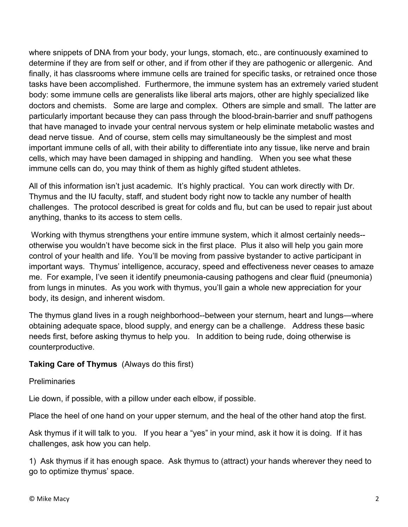where snippets of DNA from your body, your lungs, stomach, etc., are continuously examined to determine if they are from self or other, and if from other if they are pathogenic or allergenic. And finally, it has classrooms where immune cells are trained for specific tasks, or retrained once those tasks have been accomplished. Furthermore, the immune system has an extremely varied student body: some immune cells are generalists like liberal arts majors, other are highly specialized like doctors and chemists. Some are large and complex. Others are simple and small. The latter are particularly important because they can pass through the blood-brain-barrier and snuff pathogens that have managed to invade your central nervous system or help eliminate metabolic wastes and dead nerve tissue. And of course, stem cells may simultaneously be the simplest and most important immune cells of all, with their ability to differentiate into any tissue, like nerve and brain cells, which may have been damaged in shipping and handling. When you see what these immune cells can do, you may think of them as highly gifted student athletes.

All of this information isn't just academic. It's highly practical. You can work directly with Dr. Thymus and the IU faculty, staff, and student body right now to tackle any number of health challenges. The protocol described is great for colds and flu, but can be used to repair just about anything, thanks to its access to stem cells.

 Working with thymus strengthens your entire immune system, which it almost certainly needs- otherwise you wouldn't have become sick in the first place. Plus it also will help you gain more control of your health and life. You'll be moving from passive bystander to active participant in important ways. Thymus' intelligence, accuracy, speed and effectiveness never ceases to amaze me. For example, I've seen it identify pneumonia-causing pathogens and clear fluid (pneumonia) from lungs in minutes. As you work with thymus, you'll gain a whole new appreciation for your body, its design, and inherent wisdom.

The thymus gland lives in a rough neighborhood--between your sternum, heart and lungs—where obtaining adequate space, blood supply, and energy can be a challenge. Address these basic needs first, before asking thymus to help you. In addition to being rude, doing otherwise is counterproductive.

## **Taking Care of Thymus** (Always do this first)

### Preliminaries

Lie down, if possible, with a pillow under each elbow, if possible.

Place the heel of one hand on your upper sternum, and the heal of the other hand atop the first.

Ask thymus if it will talk to you. If you hear a "yes" in your mind, ask it how it is doing. If it has challenges, ask how you can help.

1) Ask thymus if it has enough space. Ask thymus to (attract) your hands wherever they need to go to optimize thymus' space.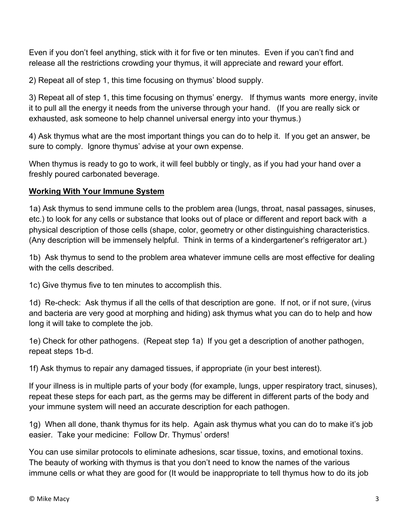Even if you don't feel anything, stick with it for five or ten minutes. Even if you can't find and release all the restrictions crowding your thymus, it will appreciate and reward your effort.

2) Repeat all of step 1, this time focusing on thymus' blood supply.

3) Repeat all of step 1, this time focusing on thymus' energy. If thymus wants more energy, invite it to pull all the energy it needs from the universe through your hand. (If you are really sick or exhausted, ask someone to help channel universal energy into your thymus.)

4) Ask thymus what are the most important things you can do to help it. If you get an answer, be sure to comply. Ignore thymus' advise at your own expense.

When thymus is ready to go to work, it will feel bubbly or tingly, as if you had your hand over a freshly poured carbonated beverage.

## **Working With Your Immune System**

1a) Ask thymus to send immune cells to the problem area (lungs, throat, nasal passages, sinuses, etc.) to look for any cells or substance that looks out of place or different and report back with a physical description of those cells (shape, color, geometry or other distinguishing characteristics. (Any description will be immensely helpful. Think in terms of a kindergartener's refrigerator art.)

1b) Ask thymus to send to the problem area whatever immune cells are most effective for dealing with the cells described.

1c) Give thymus five to ten minutes to accomplish this.

1d) Re-check: Ask thymus if all the cells of that description are gone. If not, or if not sure, (virus and bacteria are very good at morphing and hiding) ask thymus what you can do to help and how long it will take to complete the job.

1e) Check for other pathogens. (Repeat step 1a) If you get a description of another pathogen, repeat steps 1b-d.

1f) Ask thymus to repair any damaged tissues, if appropriate (in your best interest).

If your illness is in multiple parts of your body (for example, lungs, upper respiratory tract, sinuses), repeat these steps for each part, as the germs may be different in different parts of the body and your immune system will need an accurate description for each pathogen.

1g) When all done, thank thymus for its help. Again ask thymus what you can do to make it's job easier. Take your medicine: Follow Dr. Thymus' orders!

You can use similar protocols to eliminate adhesions, scar tissue, toxins, and emotional toxins. The beauty of working with thymus is that you don't need to know the names of the various immune cells or what they are good for (It would be inappropriate to tell thymus how to do its job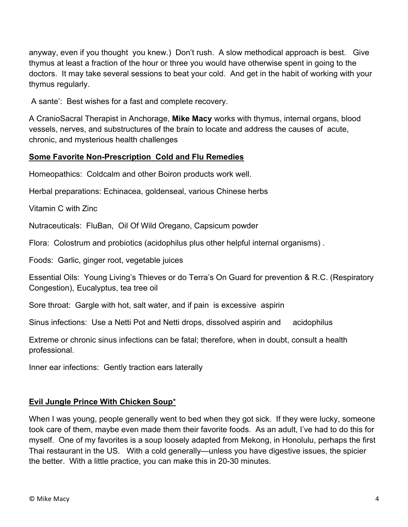anyway, even if you thought you knew.) Don't rush. A slow methodical approach is best. Give thymus at least a fraction of the hour or three you would have otherwise spent in going to the doctors. It may take several sessions to beat your cold. And get in the habit of working with your thymus regularly.

A sante': Best wishes for a fast and complete recovery.

A CranioSacral Therapist in Anchorage, **Mike Macy** works with thymus, internal organs, blood vessels, nerves, and substructures of the brain to locate and address the causes of acute, chronic, and mysterious health challenges

#### **Some Favorite Non-Prescription Cold and Flu Remedies**

Homeopathics: Coldcalm and other Boiron products work well.

Herbal preparations: Echinacea, goldenseal, various Chinese herbs

Vitamin C with Zinc

Nutraceuticals: FluBan, Oil Of Wild Oregano, Capsicum powder

Flora: Colostrum and probiotics (acidophilus plus other helpful internal organisms) .

Foods: Garlic, ginger root, vegetable juices

Essential Oils: Young Living's Thieves or do Terra's On Guard for prevention & R.C. (Respiratory Congestion), Eucalyptus, tea tree oil

Sore throat: Gargle with hot, salt water, and if pain is excessive aspirin

Sinus infections: Use a Netti Pot and Netti drops, dissolved aspirin and acidophilus

Extreme or chronic sinus infections can be fatal; therefore, when in doubt, consult a health professional.

Inner ear infections: Gently traction ears laterally

### **Evil Jungle Prince With Chicken Soup**\*

When I was young, people generally went to bed when they got sick. If they were lucky, someone took care of them, maybe even made them their favorite foods. As an adult, I've had to do this for myself. One of my favorites is a soup loosely adapted from Mekong, in Honolulu, perhaps the first Thai restaurant in the US. With a cold generally—unless you have digestive issues, the spicier the better. With a little practice, you can make this in 20-30 minutes.